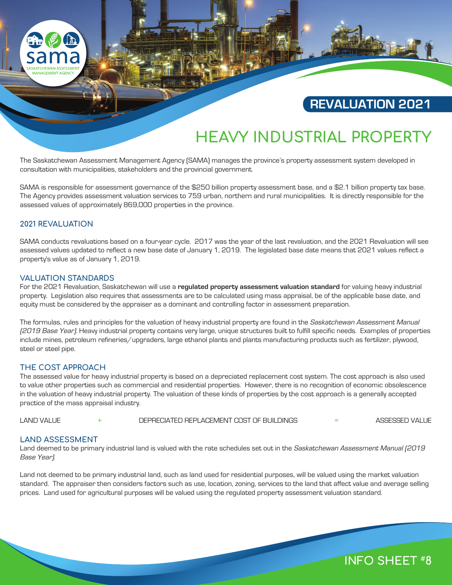

# **REVALUATION 2021**

# **HEAVY INDUSTRIAL PROPERTY**

The Saskatchewan Assessment Management Agency (SAMA) manages the province's property assessment system developed in consultation with municipalities, stakeholders and the provincial government.

SAMA is responsible for assessment governance of the \$250 billion property assessment base, and a \$2.1 billion property tax base. The Agency provides assessment valuation services to 759 urban, northern and rural municipalities. It is directly responsible for the assessed values of approximately 869,000 properties in the province.

# **2021 REVALUATION**

SAMA conducts revaluations based on a four-year cycle. 2017 was the year of the last revaluation, and the 2021 Revaluation will see assessed values updated to reflect a new base date of January 1, 2019. The legislated base date means that 2021 values reflect a property's value as of January 1, 2019.

## **VALUATION STANDARDS**

For the 2021 Revaluation, Saskatchewan will use a **regulated property assessment valuation standard** for valuing heavy industrial property. Legislation also requires that assessments are to be calculated using mass appraisal, be of the applicable base date, and equity must be considered by the appraiser as a dominant and controlling factor in assessment preparation.

The formulas, rules and principles for the valuation of heavy industrial property are found in the Saskatchewan Assessment Manual (2019 Base Year). Heavy industrial property contains very large, unique structures built to fulfill specific needs. Examples of properties include mines, petroleum refineries/upgraders, large ethanol plants and plants manufacturing products such as fertilizer, plywood, steel or steel pipe.

## **THE COST APPROACH**

The assessed value for heavy industrial property is based on a depreciated replacement cost system. The cost approach is also used to value other properties such as commercial and residential properties. However, there is no recognition of economic obsolescence in the valuation of heavy industrial property. The valuation of these kinds of properties by the cost approach is a generally accepted practice of the mass appraisal industry.

LAND VALUE + DEPRECIATED REPLACEMENT COST OF BUILDINGS = ASSESSED VALUE

# **LAND ASSESSMENT**

Land deemed to be primary industrial land is valued with the rate schedules set out in the Saskatchewan Assessment Manual (2019 Base Year).

Land not deemed to be primary industrial land, such as land used for residential purposes, will be valued using the market valuation standard. The appraiser then considers factors such as use, location, zoning, services to the land that affect value and average selling prices. Land used for agricultural purposes will be valued using the regulated property assessment valuation standard.